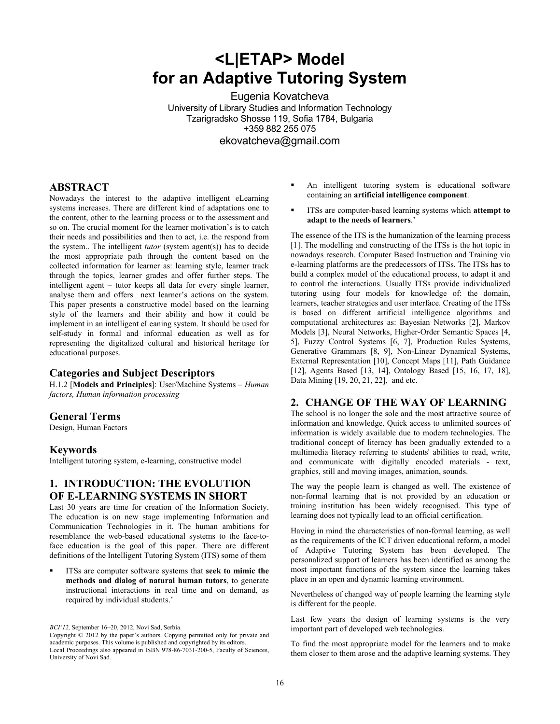# **<L|ETAP> Model for an Adaptive Tutoring System**

Eugenia Kovatcheva University of Library Studies and Information Technology Tzarigradsko Shosse 119, Sofia 1784, Bulgaria +359 882 255 075 ekovatcheva@gmail.com

#### **ABSTRACT**

Nowadays the interest to the adaptive intelligent eLearning systems increases. There are different kind of adaptations one to the content, other to the learning process or to the assessment and so on. The crucial moment for the learner motivation's is to catch their needs and possibilities and then to act, i.e. the respond from the system.. The intelligent *tutor* (system agent(s)) has to decide the most appropriate path through the content based on the collected information for learner as: learning style, learner track through the topics, learner grades and offer further steps. The intelligent agent – tutor keeps all data for every single learner, analyse them and offers next learner's actions on the system. This paper presents a constructive model based on the learning style of the learners and their ability and how it could be implement in an intelligent eLeaning system. It should be used for self-study in formal and informal education as well as for representing the digitalized cultural and historical heritage for educational purposes.

## **Categories and Subject Descriptors**

H.1.2 [**Models and Principles**]: User/Machine Systems – *Human factors, Human information processing* 

#### **General Terms**

Design, Human Factors

#### **Keywords**

Intelligent tutoring system, e-learning, constructive model

# **1. INTRODUCTION: THE EVOLUTION OF E-LEARNING SYSTEMS IN SHORT**

Last 30 years are time for creation of the Information Society. The education is on new stage implementing Information and Communication Technologies in it. The human ambitions for resemblance the web-based educational systems to the face-toface education is the goal of this paper. There are different definitions of the Intelligent Tutoring System (ITS) some of them

 ITSs are computer software systems that **seek to mimic the methods and dialog of natural human tutors**, to generate instructional interactions in real time and on demand, as required by individual students.'

- An intelligent tutoring system is educational software containing an **artificial intelligence component**.
- ITSs are computer-based learning systems which **attempt to adapt to the needs of learners**.'

The essence of the ITS is the humanization of the learning process [1]. The modelling and constructing of the ITSs is the hot topic in nowadays research. Computer Based Instruction and Training via e-learning platforms are the predecessors of ITSs. The ITSs has to build a complex model of the educational process, to adapt it and to control the interactions. Usually ITSs provide individualized tutoring using four models for knowledge of: the domain, learners, teacher strategies and user interface. Creating of the ITSs is based on different artificial intelligence algorithms and computational architectures as: Bayesian Networks [2], Markov Models [3], Neural Networks, Higher-Order Semantic Spaces [4, 5], Fuzzy Control Systems [6, 7], Production Rules Systems, Generative Grammars [8, 9], Non-Linear Dynamical Systems, External Representation [10], Concept Maps [11], Path Guidance [12], Agents Based [13, 14], Ontology Based [15, 16, 17, 18], Data Mining [19, 20, 21, 22], and etc.

#### **2. CHANGE OF THE WAY OF LEARNING**

The school is no longer the sole and the most attractive source of information and knowledge. Quick access to unlimited sources of information is widely available due to modern technologies. The traditional concept of literacy has been gradually extended to a multimedia literacy referring to students' abilities to read, write, and communicate with digitally encoded materials - text, graphics, still and moving images, animation, sounds.

The way the people learn is changed as well. The existence of non-formal learning that is not provided by an education or training institution has been widely recognised. This type of learning does not typically lead to an official certification.

Having in mind the characteristics of non-formal learning, as well as the requirements of the ICT driven educational reform, a model of Adaptive Tutoring System has been developed. The personalized support of learners has been identified as among the most important functions of the system since the learning takes place in an open and dynamic learning environment.

Nevertheless of changed way of people learning the learning style is different for the people.

Last few years the design of learning systems is the very important part of developed web technologies.

To find the most appropriate model for the learners and to make them closer to them arose and the adaptive learning systems. They

*BCI'12,* September 16–20, 2012, Novi Sad, Serbia.

Copyright © 2012 by the paper's authors. Copying permitted only for private and academic purposes. This volume is published and copyrighted by its editors. Local Proceedings also appeared in ISBN 978-86-7031-200-5, Faculty of Sciences, University of Novi Sad.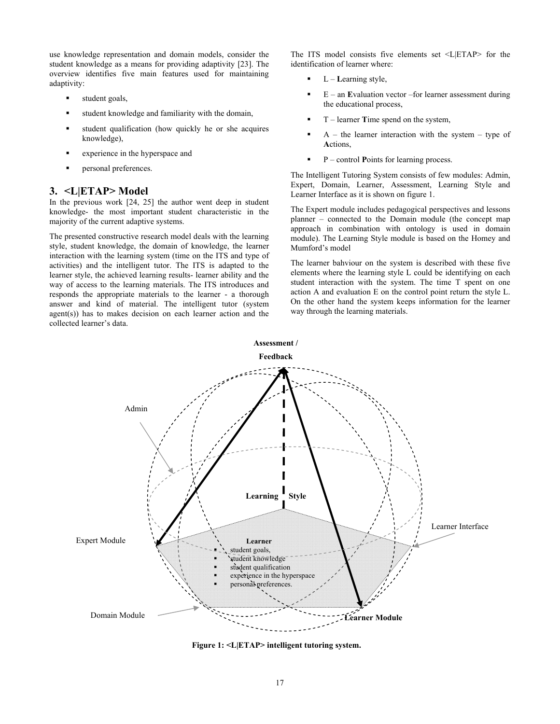use knowledge representation and domain models, consider the student knowledge as a means for providing adaptivity [23]. The overview identifies five main features used for maintaining adaptivity:

- student goals,
- student knowledge and familiarity with the domain,
- student qualification (how quickly he or she acquires knowledge),
- experience in the hyperspace and
- personal preferences.

### **3. <L|ETAP> Model**

In the previous work [24, 25] the author went deep in student knowledge- the most important student characteristic in the majority of the current adaptive systems.

The presented constructive research model deals with the learning style, student knowledge, the domain of knowledge, the learner interaction with the learning system (time on the ITS and type of activities) and the intelligent tutor. The ITS is adapted to the learner style, the achieved learning results- learner ability and the way of access to the learning materials. The ITS introduces and responds the appropriate materials to the learner - a thorough answer and kind of material. The intelligent tutor (system agent(s)) has to makes decision on each learner action and the collected learner's data.

The ITS model consists five elements set <L|ETAP> for the identification of learner where:

- L **L**earning style,
- E an **E**valuation vector –for learner assessment during the educational process,
- T learner **T**ime spend on the system,
- $A$  the learner interaction with the system type of **A**ctions,
- P control **P**oints for learning process.

The Intelligent Tutoring System consists of few modules: Admin, Expert, Domain, Learner, Assessment, Learning Style and Learner Interface as it is shown on figure 1.

The Expert module includes pedagogical perspectives and lessons planner – connected to the Domain module (the concept map approach in combination with ontology is used in domain module). The Learning Style module is based on the Homey and Mumford's model

The learner bahviour on the system is described with these five elements where the learning style L could be identifying on each student interaction with the system. The time T spent on one action A and evaluation E on the control point return the style L. On the other hand the system keeps information for the learner way through the learning materials.



**Figure 1: <L|ETAP> intelligent tutoring system.**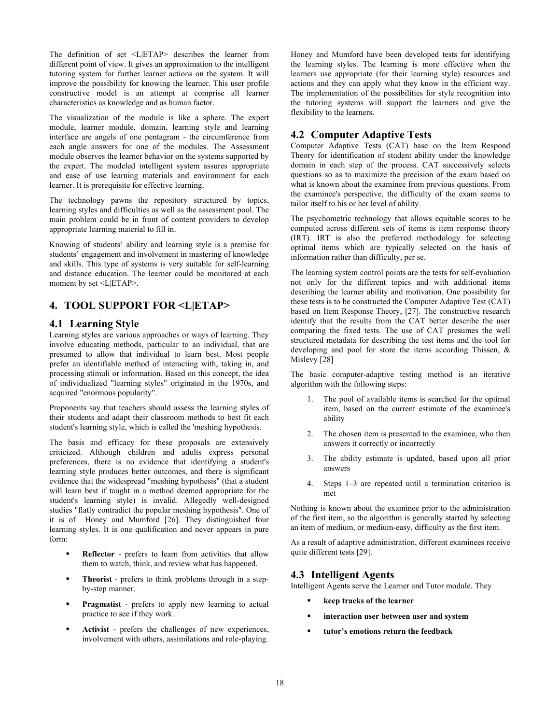The definition of set <L|ETAP> describes the learner from different point of view. It gives an approximation to the intelligent tutoring system for further learner actions on the system. It will improve the possibility for knowing the learner. This user profile constructive model is an attempt at comprise all learner characteristics as knowledge and as human factor.

The visualization of the module is like a sphere. The expert module, learner module, domain, learning style and learning interface are angels of one pentagram - the circumference from each angle answers for one of the modules. The Assessment module observes the learner behavior on the systems supported by the expert. The modeled intelligent system assures appropriate and ease of use learning materials and environment for each learner. It is prerequisite for effective learning.

The technology pawns the repository structured by topics, learning styles and difficulties as well as the assessment pool. The main problem could be in front of content providers to develop appropriate learning material to fill in.

Knowing of students' ability and learning style is a premise for students' engagement and involvement in mastering of knowledge and skills. This type of systems is very suitable for self-learning and distance education. The learner could be monitored at each moment by set <L|ETAP>.

# **4. TOOL SUPPORT FOR <L|ETAP>**

### **4.1 Learning Style**

Learning styles are various approaches or ways of learning. They involve educating methods, particular to an individual, that are presumed to allow that individual to learn best. Most people prefer an identifiable method of interacting with, taking in, and processing stimuli or information. Based on this concept, the idea of individualized "learning styles" originated in the 1970s, and acquired "enormous popularity".

Proponents say that teachers should assess the learning styles of their students and adapt their classroom methods to best fit each student's learning style, which is called the 'meshing hypothesis.

The basis and efficacy for these proposals are extensively criticized. Although children and adults express personal preferences, there is no evidence that identifying a student's learning style produces better outcomes, and there is significant evidence that the widespread "meshing hypothesis" (that a student will learn best if taught in a method deemed appropriate for the student's learning style) is invalid. Allegedly well-designed studies "flatly contradict the popular meshing hypothesis". One of it is of Honey and Mumford [26]. They distinguished four learning styles. It is one qualification and never appears in pure form:

- **Reflector** prefers to learn from activities that allow them to watch, think, and review what has happened.
- **Theorist** prefers to think problems through in a stepby-step manner.
- **Pragmatist** prefers to apply new learning to actual practice to see if they work.
- **Activist** prefers the challenges of new experiences, involvement with others, assimilations and role-playing.

Honey and Mumford have been developed tests for identifying the learning styles. The learning is more effective when the learners use appropriate (for their learning style) resources and actions and they can apply what they know in the efficient way. The implementation of the possibilities for style recognition into the tutoring systems will support the learners and give the flexibility to the learners.

### **4.2 Computer Adaptive Tests**

Computer Adaptive Tests (CAT) base on the Item Respond Theory for identification of student ability under the knowledge domain in each step of the process. CAT successively selects questions so as to maximize the precision of the exam based on what is known about the examinee from previous questions. From the examinee's perspective, the difficulty of the exam seems to tailor itself to his or her level of ability.

The psychometric technology that allows equitable scores to be computed across different sets of items is item response theory (IRT). IRT is also the preferred methodology for selecting optimal items which are typically selected on the basis of information rather than difficulty, per se.

The learning system control points are the tests for self-evaluation not only for the different topics and with additional items describing the learner ability and motivation. One possibility for these tests is to be constructed the Computer Adaptive Test (CAT) based on Item Response Theory, [27]. The constructive research identify that the results from the CAT better describe the user comparing the fixed tests. The use of CAT presumes the well structured metadata for describing the test items and the tool for developing and pool for store the items according Thissen, & Mislevy [28]

The basic computer-adaptive testing method is an iterative algorithm with the following steps:

- 1. The pool of available items is searched for the optimal item, based on the current estimate of the examinee's ability
- 2. The chosen item is presented to the examinee, who then answers it correctly or incorrectly
- 3. The ability estimate is updated, based upon all prior answers
- 4. Steps 1–3 are repeated until a termination criterion is met

Nothing is known about the examinee prior to the administration of the first item, so the algorithm is generally started by selecting an item of medium, or medium-easy, difficulty as the first item.

As a result of adaptive administration, different examinees receive quite different tests [29].

#### **4.3 Intelligent Agents**

Intelligent Agents serve the Learner and Tutor module. They

- **keep tracks of the learner**
- **interaction user between user and system**
- **tutor's emotions return the feedback**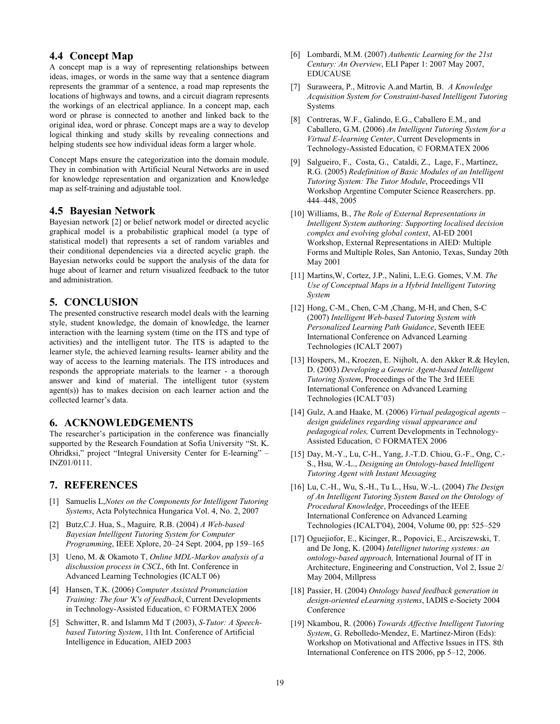### **4.4 Concept Map**

A concept map is a way of representing relationships between ideas, images, or words in the same way that a sentence diagram represents the grammar of a sentence, a road map represents the locations of highways and towns, and a circuit diagram represents the workings of an electrical appliance. In a concept map, each word or phrase is connected to another and linked back to the original idea, word or phrase. Concept maps are a way to develop logical thinking and study skills by revealing connections and helping students see how individual ideas form a larger whole.

Concept Maps ensure the categorization into the domain module. They in combination with Artificial Neural Networks are in used for knowledge representation and organization and Knowledge map as self-training and adjustable tool.

### **4.5 Bayesian Network**

Bayesian network [2] or belief network model or directed acyclic graphical model is a probabilistic graphical model (a type of statistical model) that represents a set of random variables and their conditional dependencies via a directed acyclic graph. the Bayesian networks could be support the analysis of the data for huge about of learner and return visualized feedback to the tutor and administration.

## **5. CONCLUSION**

The presented constructive research model deals with the learning style, student knowledge, the domain of knowledge, the learner interaction with the learning system (time on the ITS and type of activities) and the intelligent tutor. The ITS is adapted to the learner style, the achieved learning results- learner ability and the way of access to the learning materials. The ITS introduces and responds the appropriate materials to the learner - a thorough answer and kind of material. The intelligent tutor (system agent(s)) has to makes decision on each learner action and the collected learner's data.

#### **6. ACKNOWLEDGEMENTS**

The researcher's participation in the conference was financially supported by the Research Foundation at Sofia University "St. K. Ohridksi," project "Integral University Center for E-learning" – INZ01/0111.

#### **7. REFERENCES**

- [1] Samuelis L,*Notes on the Components for Intelligent Tutoring Systems*, Acta Polytechnica Hungarica Vol. 4, No. 2, 2007
- [2] Butz,C.J. Hua, S., Maguire*,* R.B. (2004) *A Web-based Bayesian Intelligent Tutoring System for Computer Programming*, IEEE Xplore, 20–24 Sept. 2004, pp 159–165
- [3] Ueno, M. & Okamoto T, *Online MDL-Markov analysis of a dischussion process in CSCL*, 6th Int. Conference in Advanced Learning Technologies (ICALT 06)
- [4] Hansen, T.K. (2006) *Computer Assisted Pronunciation Training: The four 'K's of feedback*, Current Developments in Technology-Assisted Education, © FORMATEX 2006
- [5] Schwitter, R. and Islamm Md T (2003), *S-Tutor: A Speechbased Tutoring System*, 11th Int. Conference of Artificial Intelligence in Education, AIED 2003
- [6] Lombardi, M.M. (2007) *Authentic Learning for the 21st Century: An Overview*, ELI Paper 1: 2007 May 2007, EDUCAUSE
- [7] Suraweera, P., Mitrovic A.and Martin*,* B. *A Knowledge Acquisition System for Constraint-based Intelligent Tutoring*  Systems
- [8] Contreras, W.F., Galindo, E.G., Caballero E.M., and Caballero, G.M. (2006) *An Intelligent Tutoring System for a Virtual E-learning Center*, Current Developments in Technology-Assisted Education, © FORMATEX 2006
- [9] Salgueiro, F., Costa, G., Cataldi, Z., Lage, F., Martínez, R.G. (2005) *Redefinition of Basic Modules of an Intelligent Tutoring System: The Tutor Module*, Proceedings VII Workshop Argentine Computer Science Reaserchers. pp. 444–448, 2005
- [10] Williams, B., *The Role of External Representations in Intelligent System authoring: Supporting localised decision complex and evolving global context*, AI-ED 2001 Workshop, External Representations in AIED: Multiple Forms and Multiple Roles, San Antonio, Texas, Sunday 20th May 2001
- [11] Martins,W, Cortez, J.P., Nalini, L.E.G. Gomes, V.M. *The Use of Conceptual Maps in a Hybrid Intelligent Tutoring System*
- [12] Hong, C-M., Chen, C-M , Chang, M-H, and Chen, S-C (2007) *Intelligent Web-based Tutoring System with Personalized Learning Path Guidance*, Seventh IEEE International Conference on Advanced Learning Technologies (ICALT 2007)
- [13] Hospers, M., Kroezen, E. Nijholt, A. den Akker R.& Heylen, D. (2003) *Developing a Generic Agent-based Intelligent Tutoring System*, Proceedings of the The 3rd IEEE International Conference on Advanced Learning Technologies (ICALT'03)
- [14] Gulz, A.and Haake, M. (2006) *Virtual pedagogical agents design guidelines regarding visual appearance and pedagogical roles,* Current Developments in Technology-Assisted Education, © FORMATEX 2006
- [15] Day, M.-Y., Lu, C-H., Yang, J.-T.D. Chiou, G.-F., Ong, C.- S., Hsu, W.-L., *Designing an Ontology-based Intelligent Tutoring Agent with Instant Messaging*
- [16] Lu, C.-H., Wu, S.-H., Tu L., Hsu, W.-L. (2004) *The Design of An Intelligent Tutoring System Based on the Ontology of Procedural Knowledge*, Proceedings of the IEEE International Conference on Advanced Learning Technologies (ICALT'04), 2004, Volume 00, pp: 525–529
- [17] Oguejiofor, E., Kicinger, R., Popovici, E., Arciszewski, T. and De Jong, K. (2004) *Intellignet tutoring systems: an ontology-based approach,* International Journal of IT in Architecture, Engineering and Construction, Vol 2, Issue 2/ May 2004, Millpress
- [18] Passier, H. (2004) *Ontology based feedback generation in design-oriented eLearning systems*, IADIS e-Society 2004 Conference
- [19] Nkambou, R. (2006) *Towards Affective Intelligent Tutoring System*, G. Rebolledo-Mendez, E. Martinez-Miron (Eds): Workshop on Motivational and Affective Issues in ITS. 8th International Conference on ITS 2006, pp 5–12, 2006.